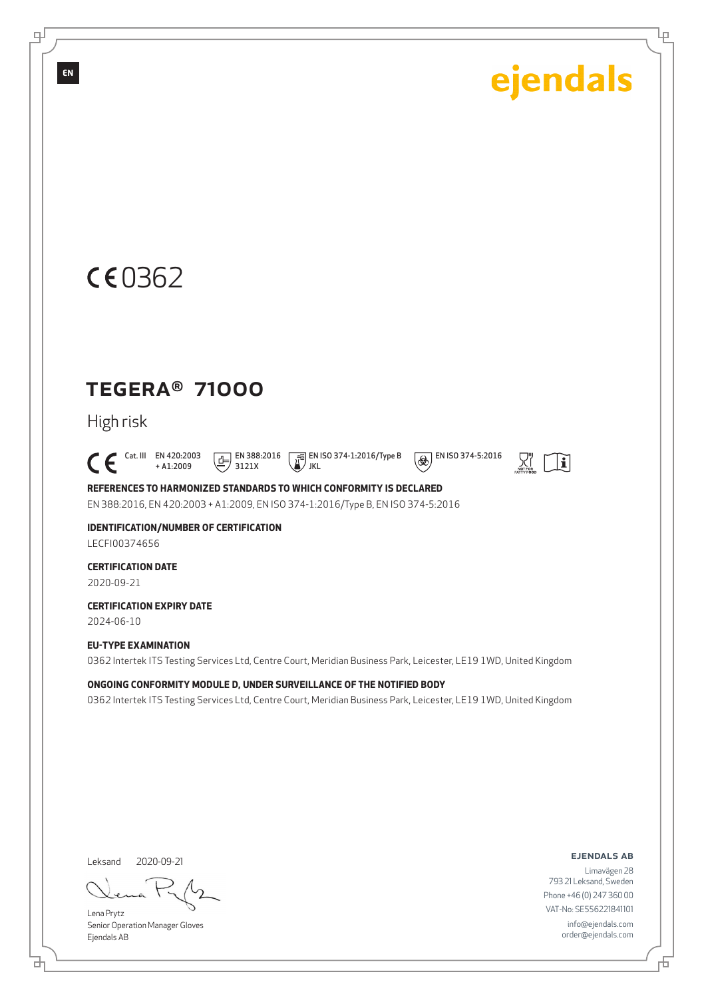Ļρ



### TEGERA® 71000

High risk

 $\bigcap_{+ \text{A1:2009}}^{\text{Cat. III}}$  EN 420:2003 + A1:2009  $\boxed{E}$  EN 388:2016 3121X

**EN ISO 374-1:2016/Type B** JKL



 $\overline{\bigcirc \bigcirc \bigcirc}$  EN ISO 374-5:2016

**REFERENCES TO HARMONIZED STANDARDS TO WHICH CONFORMITY IS DECLARED**

EN 388:2016, EN 420:2003 + A1:2009, EN ISO 374-1:2016/Type B, EN ISO 374-5:2016

**IDENTIFICATION/NUMBER OF CERTIFICATION** LECFI00374656

**CERTIFICATION DATE** 2020-09-21

**CERTIFICATION EXPIRY DATE**

2024-06-10

#### **EU-TYPE EXAMINATION**

0362 Intertek ITS Testing Services Ltd, Centre Court, Meridian Business Park, Leicester, LE19 1WD, United Kingdom

**ONGOING CONFORMITY MODULE D, UNDER SURVEILLANCE OF THE NOTIFIED BODY**

0362 Intertek ITS Testing Services Ltd, Centre Court, Meridian Business Park, Leicester, LE19 1WD, United Kingdom

Leksand 2020-09-21

Lena Prytz Senior Operation Manager Gloves Ejendals AB

#### ejendals ab

舌

Limavägen 28 793 21 Leksand, Sweden Phone +46 (0) 247 360 00 VAT-No: SE556221841101 info@ejendals.com order@ejendals.com

டி

**EN**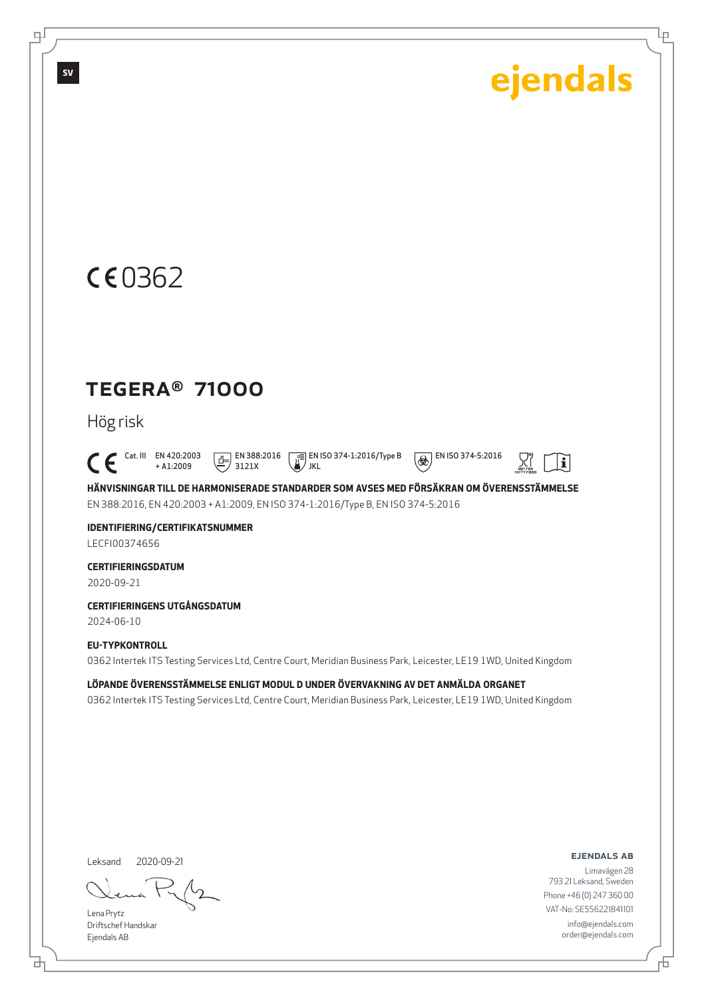Ļμ



### TEGERA® 71000

Hög risk

 $\bigcap_{+ \text{A1:2009}}^{\text{Cat. III}}$  EN 420:2003 + A1:2009

 $\boxed{1}$  EN 388:2016 3121X JKL

**EN ISO 374-1:2016/Type B** 



 $\mathbf i$ 

**HÄNVISNINGAR TILL DE HARMONISERADE STANDARDER SOM AVSES MED FÖRSÄKRAN OM ÖVERENSSTÄMMELSE** EN 388:2016, EN 420:2003 + A1:2009, EN ISO 374-1:2016/Type B, EN ISO 374-5:2016

**IDENTIFIERING/CERTIFIKATSNUMMER** LECFI00374656

**CERTIFIERINGSDATUM** 2020-09-21

**CERTIFIERINGENS UTGÅNGSDATUM**

2024-06-10

#### **EU-TYPKONTROLL**

0362 Intertek ITS Testing Services Ltd, Centre Court, Meridian Business Park, Leicester, LE19 1WD, United Kingdom

**LÖPANDE ÖVERENSSTÄMMELSE ENLIGT MODUL D UNDER ÖVERVAKNING AV DET ANMÄLDA ORGANET** 0362 Intertek ITS Testing Services Ltd, Centre Court, Meridian Business Park, Leicester, LE19 1WD, United Kingdom

Leksand 2020-09-21

Lena Prytz Driftschef Handskar Ejendals AB

ejendals ab

舌

Limavägen 28 793 21 Leksand, Sweden Phone +46 (0) 247 360 00 VAT-No: SE556221841101 info@ejendals.com order@ejendals.com

டி

**SV**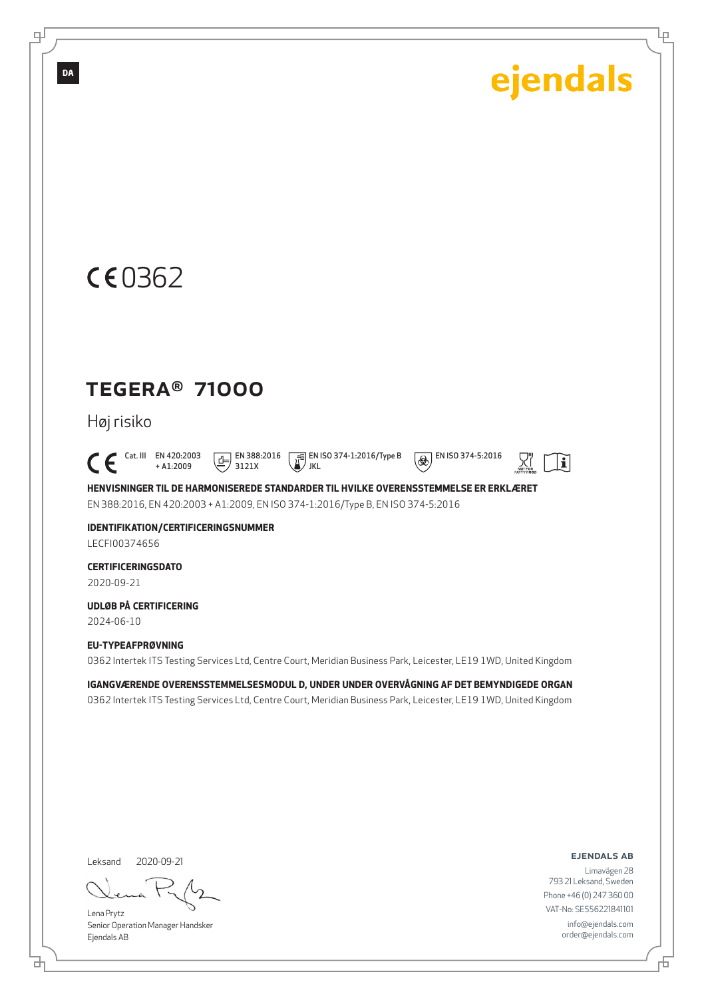Ļμ

## CE0362

**DA**

டி

### TEGERA® 71000

Høj risiko

 $\bigcap_{+ \text{A1:2009}}^{\text{Cat. III}}$  EN 420:2003 + A1:2009  $\boxed{1}$  EN 388:2016 3121X

 EN ISO 374-1:2016/Type B JKL

 $\circledR$  EN ISO 374-5:2016

 $|\mathbf{i}|$ 

**HENVISNINGER TIL DE HARMONISEREDE STANDARDER TIL HVILKE OVERENSSTEMMELSE ER ERKLÆRET** EN 388:2016, EN 420:2003 + A1:2009, EN ISO 374-1:2016/Type B, EN ISO 374-5:2016

**IDENTIFIKATION/CERTIFICERINGSNUMMER** LECFI00374656

**CERTIFICERINGSDATO** 2020-09-21

**UDLØB PÅ CERTIFICERING** 2024-06-10

**EU-TYPEAFPRØVNING**

0362 Intertek ITS Testing Services Ltd, Centre Court, Meridian Business Park, Leicester, LE19 1WD, United Kingdom

**IGANGVÆRENDE OVERENSSTEMMELSESMODUL D, UNDER UNDER OVERVÅGNING AF DET BEMYNDIGEDE ORGAN** 0362 Intertek ITS Testing Services Ltd, Centre Court, Meridian Business Park, Leicester, LE19 1WD, United Kingdom

Leksand 2020-09-21

Lena Prytz Senior Operation Manager Handsker Ejendals AB

ejendals ab

Limavägen 28 793 21 Leksand, Sweden Phone +46 (0) 247 360 00 VAT-No: SE556221841101 info@ejendals.com order@ejendals.com

<u>다</u>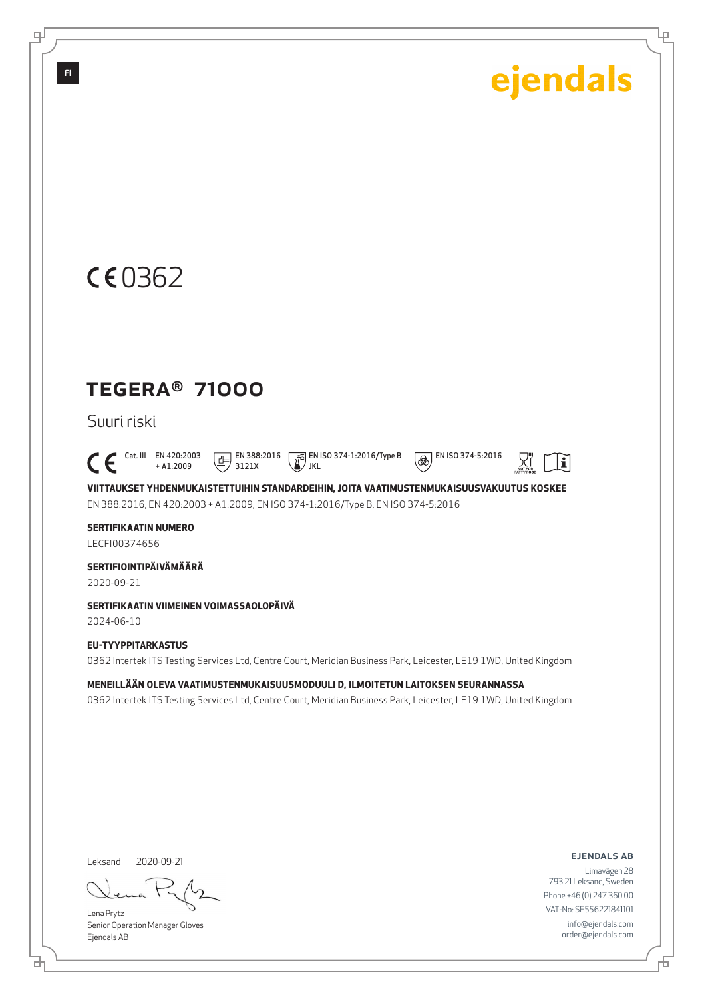Ļμ

## CE0362

### TEGERA® 71000

Suuri riski

 $\bigcap_{+ \text{A1:2009}}^{\text{Cat. III}}$  EN 420:2003 + A1:2009  $\boxed{1}$  EN 388:2016 3121X

JKL

EN ISO 374-1:2016/Type B



 $\mathbf i$ 

**VIITTAUKSET YHDENMUKAISTETTUIHIN STANDARDEIHIN, JOITA VAATIMUSTENMUKAISUUSVAKUUTUS KOSKEE** EN 388:2016, EN 420:2003 + A1:2009, EN ISO 374-1:2016/Type B, EN ISO 374-5:2016

**SERTIFIKAATIN NUMERO** LECFI00374656

**SERTIFIOINTIPÄIVÄMÄÄRÄ**

2020-09-21

**SERTIFIKAATIN VIIMEINEN VOIMASSAOLOPÄIVÄ**

2024-06-10

**EU-TYYPPITARKASTUS** 0362 Intertek ITS Testing Services Ltd, Centre Court, Meridian Business Park, Leicester, LE19 1WD, United Kingdom

**MENEILLÄÄN OLEVA VAATIMUSTENMUKAISUUSMODUULI D, ILMOITETUN LAITOKSEN SEURANNASSA** 0362 Intertek ITS Testing Services Ltd, Centre Court, Meridian Business Park, Leicester, LE19 1WD, United Kingdom

Leksand 2020-09-21

<u>다</u>

Lena Prytz Senior Operation Manager Gloves Ejendals AB

#### ejendals ab

Limavägen 28 793 21 Leksand, Sweden Phone +46 (0) 247 360 00 VAT-No: SE556221841101 info@ejendals.com order@ejendals.com

டி

**FI**

舌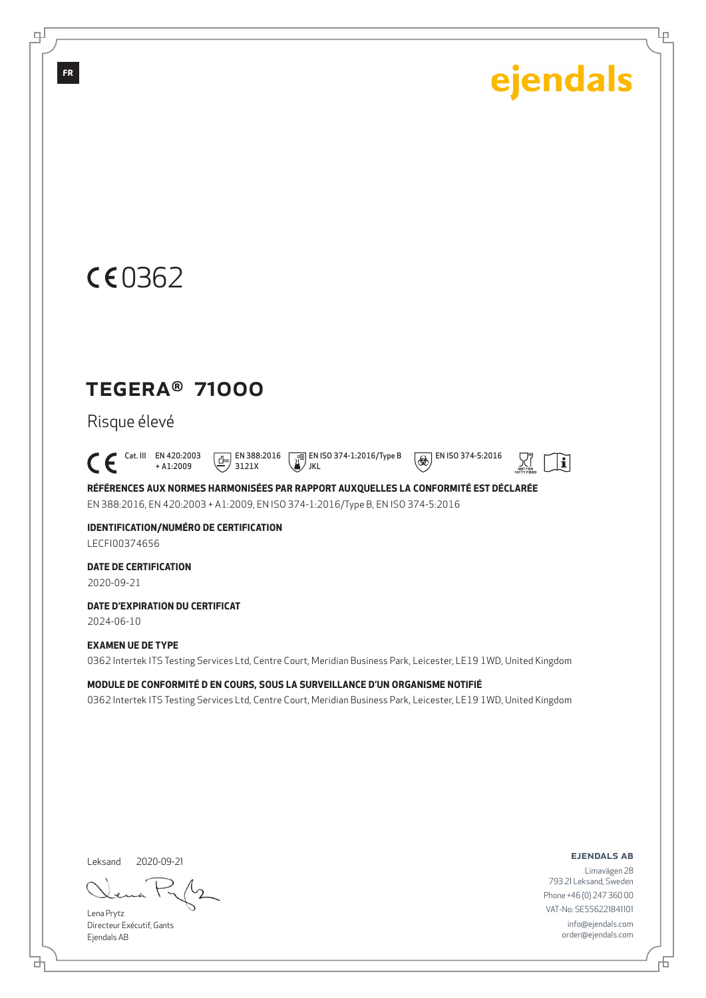Ļμ

## CE0362

### TEGERA® 71000

Risque élevé

 $\bigcap_{+ \text{A1:2009}}^{\text{Cat. III}}$  EN 420:2003 + A1:2009  $\boxed{E}$  EN 388:2016 3121X

 EN ISO 374-1:2016/Type B JKL

 $\overline{\bigcirc \bigcirc \bigcirc}$  EN ISO 374-5:2016

 $|\mathbf{i}|$ 

**RÉFÉRENCES AUX NORMES HARMONISÉES PAR RAPPORT AUXQUELLES LA CONFORMITÉ EST DÉCLARÉE** EN 388:2016, EN 420:2003 + A1:2009, EN ISO 374-1:2016/Type B, EN ISO 374-5:2016

**IDENTIFICATION/NUMÉRO DE CERTIFICATION** LECFI00374656

**DATE DE CERTIFICATION**

2020-09-21

**DATE D'EXPIRATION DU CERTIFICAT**

2024-06-10

#### **EXAMEN UE DE TYPE**

0362 Intertek ITS Testing Services Ltd, Centre Court, Meridian Business Park, Leicester, LE19 1WD, United Kingdom

**MODULE DE CONFORMITÉ D EN COURS, SOUS LA SURVEILLANCE D'UN ORGANISME NOTIFIÉ** 0362 Intertek ITS Testing Services Ltd, Centre Court, Meridian Business Park, Leicester, LE19 1WD, United Kingdom

Leksand 2020-09-21

Lena Prytz Directeur Exécutif, Gants Ejendals AB

<u>다</u>

ejendals ab

舌

Limavägen 28 793 21 Leksand, Sweden Phone +46 (0) 247 360 00 VAT-No: SE556221841101 info@ejendals.com order@ejendals.com

டி

**FR**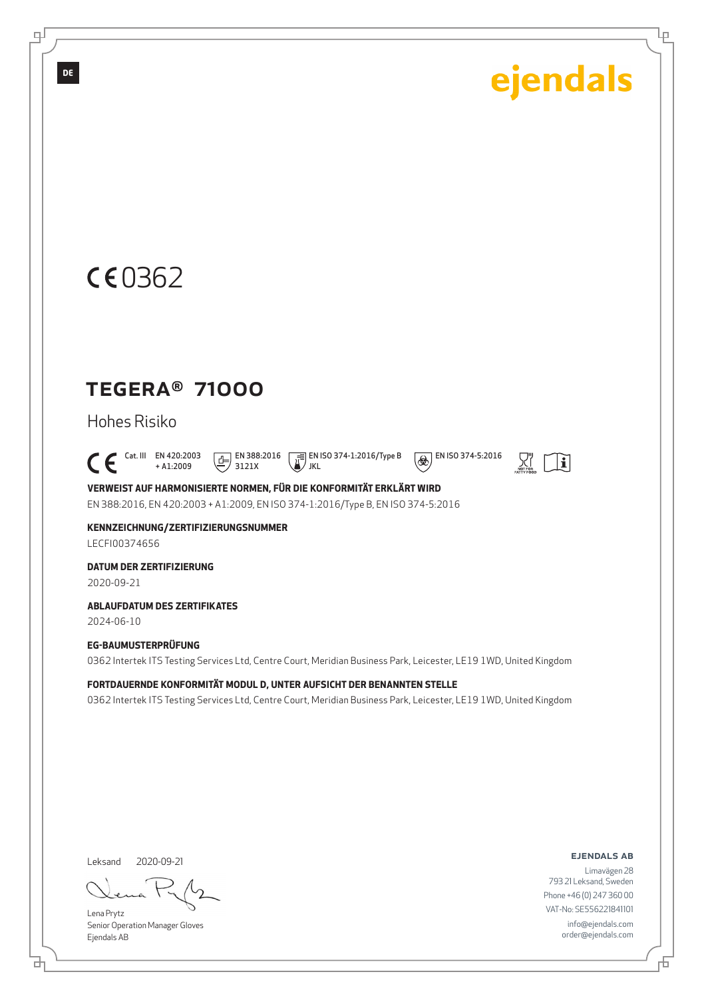Ļμ

## CE0362

### TEGERA® 71000

Hohes Risiko

 $\bigcap_{+ \text{A1:2009}}^{\text{Cat. III}}$  EN 420:2003 + A1:2009  $\boxed{1}$  EN 388:2016 3121X

 EN ISO 374-1:2016/Type B JKL  $\circledR$  EN ISO 374-5:2016



**VERWEIST AUF HARMONISIERTE NORMEN, FÜR DIE KONFORMITÄT ERKLÄRT WIRD** EN 388:2016, EN 420:2003 + A1:2009, EN ISO 374-1:2016/Type B, EN ISO 374-5:2016

**KENNZEICHNUNG/ZERTIFIZIERUNGSNUMMER**

LECFI00374656

**DATUM DER ZERTIFIZIERUNG**

2020-09-21

**ABLAUFDATUM DES ZERTIFIKATES**

2024-06-10

#### **EG-BAUMUSTERPRÜFUNG**

0362 Intertek ITS Testing Services Ltd, Centre Court, Meridian Business Park, Leicester, LE19 1WD, United Kingdom

**FORTDAUERNDE KONFORMITÄT MODUL D, UNTER AUFSICHT DER BENANNTEN STELLE**

0362 Intertek ITS Testing Services Ltd, Centre Court, Meridian Business Park, Leicester, LE19 1WD, United Kingdom

Leksand 2020-09-21

<u>다</u>

Lena Prytz Senior Operation Manager Gloves Ejendals AB

#### ejendals ab

舌

Limavägen 28 793 21 Leksand, Sweden Phone +46 (0) 247 360 00 VAT-No: SE556221841101 info@ejendals.com order@ejendals.com

டி

**DE**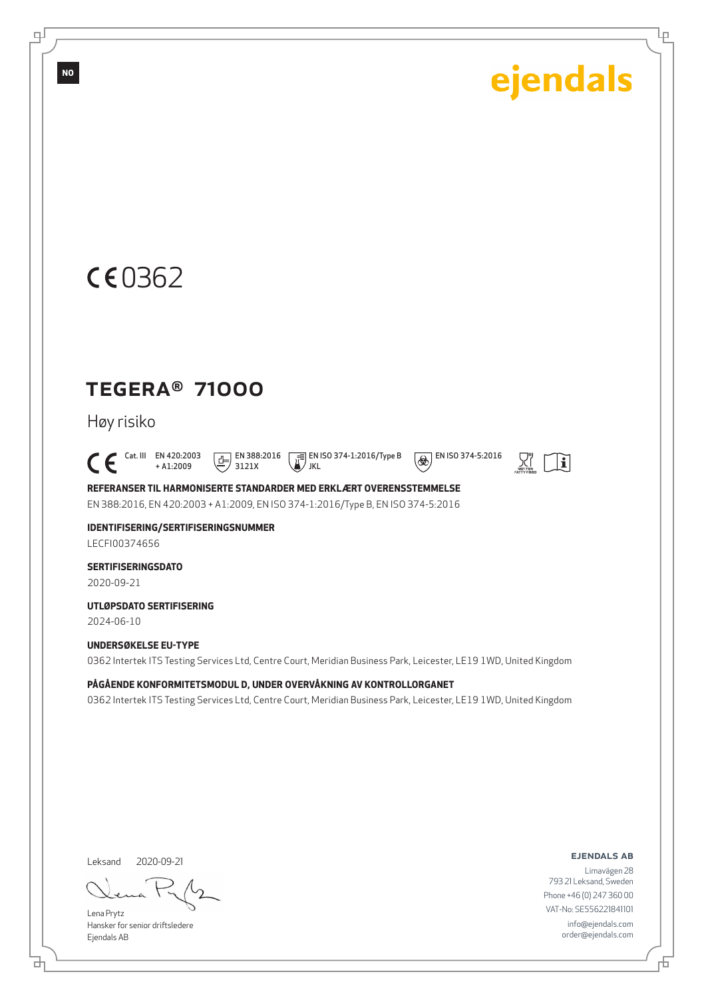Ļμ



### TEGERA® 71000

Høy risiko

 $\bigcap_{+ \text{A1:2009}}^{\text{Cat. III}}$  EN 420:2003 + A1:2009  $\boxed{1}$  EN 388:2016 3121X

 EN ISO 374-1:2016/Type B JKL



 $\overline{\bigcirc \bigcirc \bigcirc}$  EN ISO 374-5:2016

**REFERANSER TIL HARMONISERTE STANDARDER MED ERKLÆRT OVERENSSTEMMELSE** EN 388:2016, EN 420:2003 + A1:2009, EN ISO 374-1:2016/Type B, EN ISO 374-5:2016

**IDENTIFISERING/SERTIFISERINGSNUMMER** LECFI00374656

**SERTIFISERINGSDATO**

2020-09-21

**UTLØPSDATO SERTIFISERING**

2024-06-10

#### **UNDERSØKELSE EU-TYPE**

0362 Intertek ITS Testing Services Ltd, Centre Court, Meridian Business Park, Leicester, LE19 1WD, United Kingdom

**PÅGÅENDE KONFORMITETSMODUL D, UNDER OVERVÅKNING AV KONTROLLORGANET**

0362 Intertek ITS Testing Services Ltd, Centre Court, Meridian Business Park, Leicester, LE19 1WD, United Kingdom

Leksand 2020-09-21

Lena Prytz Hansker for senior driftsledere Ejendals AB

#### ejendals ab

舌

Limavägen 28 793 21 Leksand, Sweden Phone +46 (0) 247 360 00 VAT-No: SE556221841101 info@ejendals.com order@ejendals.com

டி

**NO**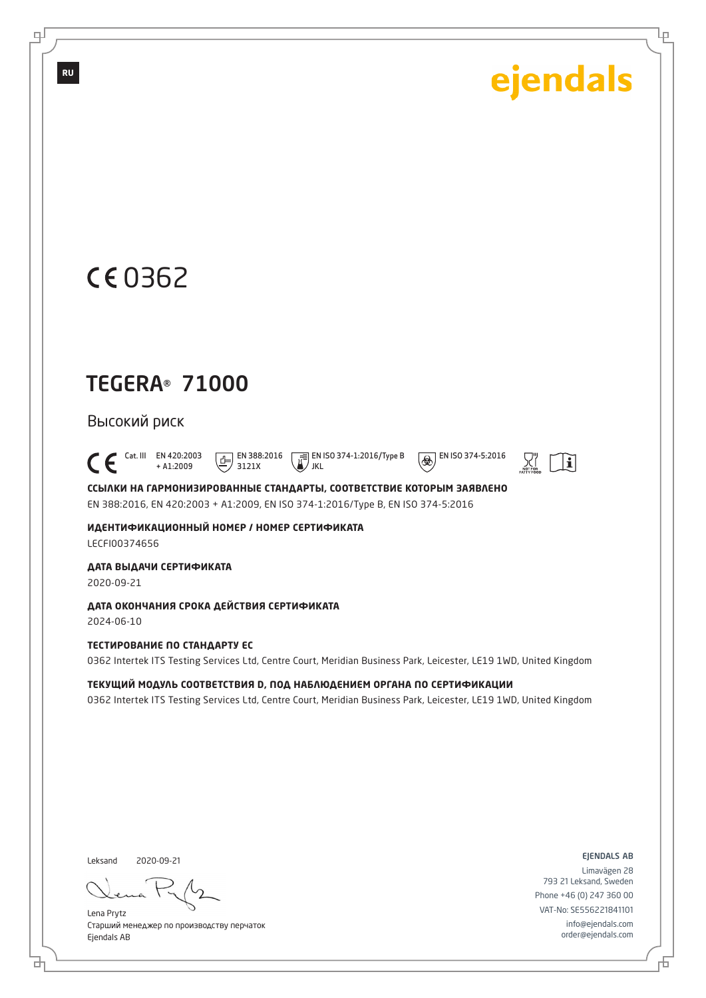Ļμ

## 0362

**RU**

டி

## TEGERA® 71000

Высокий риск

 $\bigcap_{+ A1:2009}^{\text{Cat. III}}$  EN 420:2003 + A1:2009  $\boxed{F}$  EN 388:2016 3121X

 EN ISO 374-1:2016/Type B JKL

 $\circledast$  EN ISO 374-5:2016



**ССЫЛКИ НА ГАРМОНИЗИРОВАННЫЕ СТАНДАРТЫ, СООТВЕТСТВИЕ КОТОРЫМ ЗАЯВЛЕНО** EN 388:2016, EN 420:2003 + A1:2009, EN ISO 374-1:2016/Type B, EN ISO 374-5:2016

**ИДЕНТИФИКАЦИОННЫЙ НОМЕР / НОМЕР СЕРТИФИКАТА** LECFI00374656

**ДАТА ВЫДАЧИ СЕРТИФИКАТА**

2020-09-21

**ДАТА ОКОНЧАНИЯ СРОКА ДЕЙСТВИЯ СЕРТИФИКАТА** 2024-06-10

**ТЕСТИРОВАНИЕ ПО СТАНДАРТУ ЕС**

0362 Intertek ITS Testing Services Ltd, Centre Court, Meridian Business Park, Leicester, LE19 1WD, United Kingdom

**ТЕКУЩИЙ МОДУЛЬ СООТВЕТСТВИЯ D, ПОД НАБЛЮДЕНИЕМ ОРГАНА ПО СЕРТИФИКАЦИИ** 0362 Intertek ITS Testing Services Ltd, Centre Court, Meridian Business Park, Leicester, LE19 1WD, United Kingdom

Leksand 2020-09-21

Lena Prytz Старший менеджер по производству перчаток Ejendals AB

ejendals ab

Limavägen 28 793 21 Leksand, Sweden Phone +46 (0) 247 360 00 VAT-No: SE556221841101 info@ejendals.com order@ejendals.com

브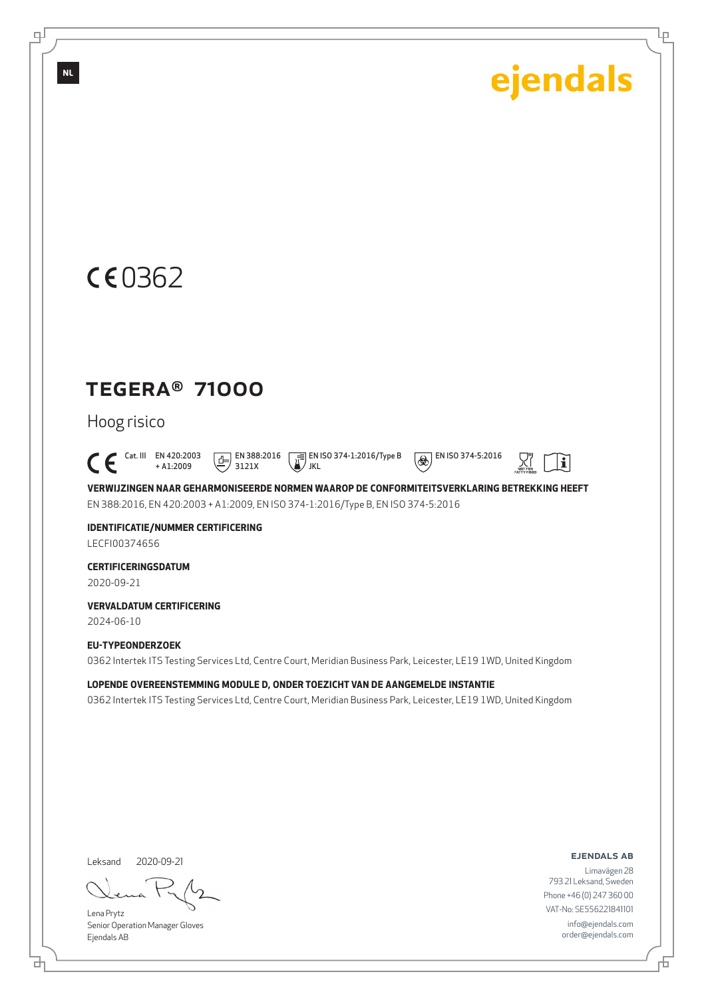Ļμ

## CE0362

### TEGERA® 71000

#### Hoog risico

 $\bigcap_{+ A1:2009}^{\text{Cat. III}}$  EN 420:2003 + A1:2009  $\boxed{1}$  EN 388:2016 3121X

 EN ISO 374-1:2016/Type B JKL



**VERWIJZINGEN NAAR GEHARMONISEERDE NORMEN WAAROP DE CONFORMITEITSVERKLARING BETREKKING HEEFT** EN 388:2016, EN 420:2003 + A1:2009, EN ISO 374-1:2016/Type B, EN ISO 374-5:2016

**IDENTIFICATIE/NUMMER CERTIFICERING** LECFI00374656

**CERTIFICERINGSDATUM**

2020-09-21

**VERVALDATUM CERTIFICERING**

2024-06-10

#### **EU-TYPEONDERZOEK**

0362 Intertek ITS Testing Services Ltd, Centre Court, Meridian Business Park, Leicester, LE19 1WD, United Kingdom

**LOPENDE OVEREENSTEMMING MODULE D, ONDER TOEZICHT VAN DE AANGEMELDE INSTANTIE** 0362 Intertek ITS Testing Services Ltd, Centre Court, Meridian Business Park, Leicester, LE19 1WD, United Kingdom

Leksand 2020-09-21

<u>다</u>

Lena Prytz Senior Operation Manager Gloves Ejendals AB

#### ejendals ab

舌

Limavägen 28 793 21 Leksand, Sweden Phone +46 (0) 247 360 00 VAT-No: SE556221841101 info@ejendals.com order@ejendals.com

∓

**NL**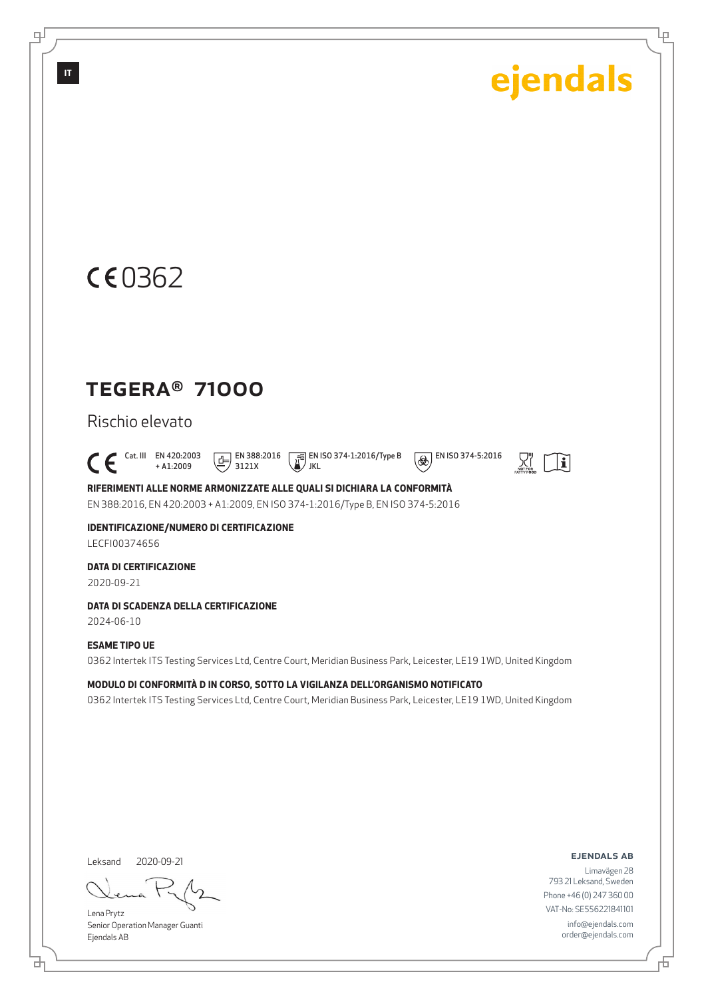Ļμ

## CE0362

### TEGERA® 71000

Rischio elevato

 $\bigcap_{+ \text{A1:2009}}^{\text{Cat. III}}$  EN 420:2003 + A1:2009  $\boxed{E}$  EN 388:2016 3121X

 EN ISO 374-1:2016/Type B / JKL



 $\mathbf{E}$ 

**RIFERIMENTI ALLE NORME ARMONIZZATE ALLE QUALI SI DICHIARA LA CONFORMITÀ** EN 388:2016, EN 420:2003 + A1:2009, EN ISO 374-1:2016/Type B, EN ISO 374-5:2016

**IDENTIFICAZIONE/NUMERO DI CERTIFICAZIONE**

LECFI00374656

**DATA DI CERTIFICAZIONE**

2020-09-21

#### **DATA DI SCADENZA DELLA CERTIFICAZIONE**

2024-06-10

#### **ESAME TIPO UE**

0362 Intertek ITS Testing Services Ltd, Centre Court, Meridian Business Park, Leicester, LE19 1WD, United Kingdom

**MODULO DI CONFORMITÀ D IN CORSO, SOTTO LA VIGILANZA DELL'ORGANISMO NOTIFICATO** 0362 Intertek ITS Testing Services Ltd, Centre Court, Meridian Business Park, Leicester, LE19 1WD, United Kingdom

Leksand 2020-09-21

Lena Prytz Senior Operation Manager Guanti Ejendals AB

#### ejendals ab

Limavägen 28 793 21 Leksand, Sweden Phone +46 (0) 247 360 00 VAT-No: SE556221841101 info@ejendals.com order@ejendals.com

டி

**IT**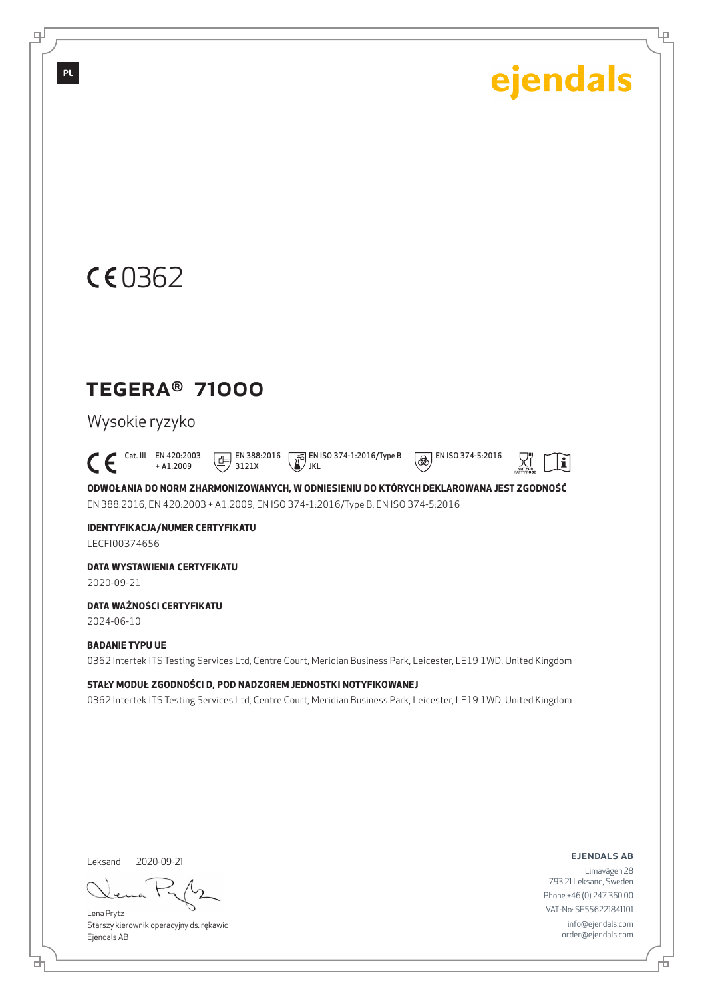Ļμ

## CE0362

### TEGERA® 71000

#### Wysokie ryzyko

 Cat. III EN 420:2003 + A1:2009  $\boxed{E}$  EN 388:2016 3121X

**EN ISO 374-1:2016/Type B** JKL

 $\overline{\bigcirc \bigcirc \bigcirc}$  EN ISO 374-5:2016



**ODWOŁANIA DO NORM ZHARMONIZOWANYCH, W ODNIESIENIU DO KTÓRYCH DEKLAROWANA JEST ZGODNOŚĆ** EN 388:2016, EN 420:2003 + A1:2009, EN ISO 374-1:2016/Type B, EN ISO 374-5:2016

**IDENTYFIKACJA/NUMER CERTYFIKATU** LECFI00374656

**DATA WYSTAWIENIA CERTYFIKATU**

2020-09-21

**DATA WAŻNOŚCI CERTYFIKATU**

2024-06-10

#### **BADANIE TYPU UE**

0362 Intertek ITS Testing Services Ltd, Centre Court, Meridian Business Park, Leicester, LE19 1WD, United Kingdom

**STAŁY MODUŁ ZGODNOŚCI D, POD NADZOREM JEDNOSTKI NOTYFIKOWANEJ**

0362 Intertek ITS Testing Services Ltd, Centre Court, Meridian Business Park, Leicester, LE19 1WD, United Kingdom

Leksand 2020-09-21

<u>다</u>

Lena Prytz Starszy kierownik operacyjny ds. rękawic Ejendals AB

ejendals ab

舌

Limavägen 28 793 21 Leksand, Sweden Phone +46 (0) 247 360 00 VAT-No: SE556221841101 info@ejendals.com order@ejendals.com

டி

**PL**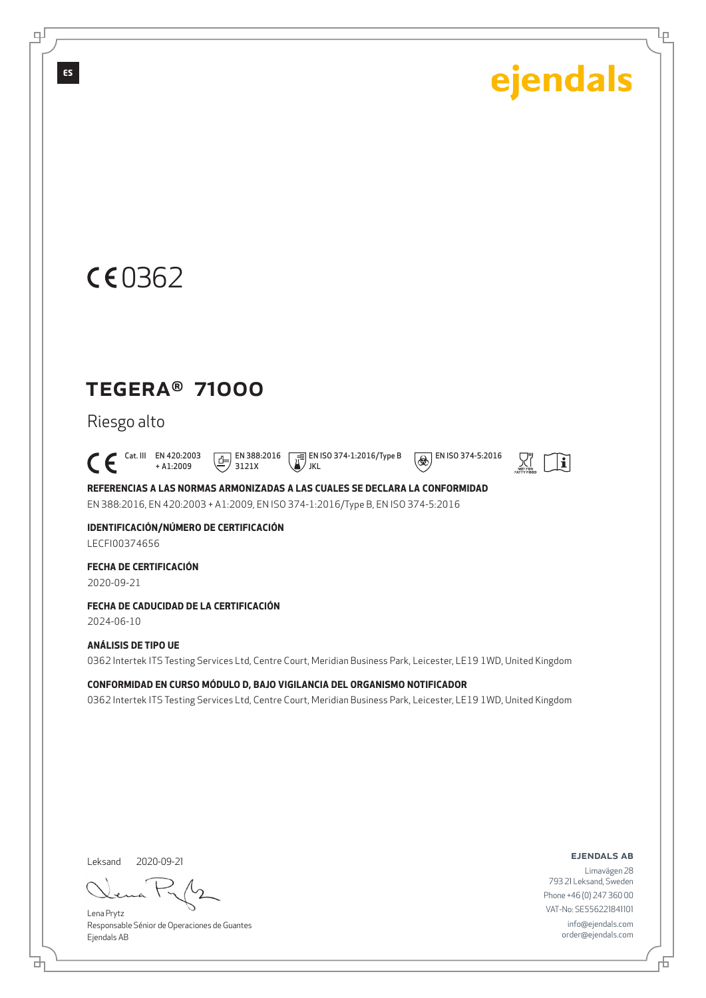Ļμ

## CE0362

### TEGERA® 71000

Riesgo alto

 $\bigcap_{+ \text{A1:2009}}^{\text{Cat. III}}$  EN 420:2003 + A1:2009  $\boxed{E}$  EN 388:2016 3121X

 EN ISO 374-1:2016/Type B JKL

 $\circledR$  EN ISO 374-5:2016 몼.

 $\lceil |\mathbf{i}|$ 



**IDENTIFICACIÓN/NÚMERO DE CERTIFICACIÓN** LECFI00374656

**FECHA DE CERTIFICACIÓN**

2020-09-21

**FECHA DE CADUCIDAD DE LA CERTIFICACIÓN**

2024-06-10

#### **ANÁLISIS DE TIPO UE**

0362 Intertek ITS Testing Services Ltd, Centre Court, Meridian Business Park, Leicester, LE19 1WD, United Kingdom

**CONFORMIDAD EN CURSO MÓDULO D, BAJO VIGILANCIA DEL ORGANISMO NOTIFICADOR**

0362 Intertek ITS Testing Services Ltd, Centre Court, Meridian Business Park, Leicester, LE19 1WD, United Kingdom

Leksand 2020-09-21

Lena Prytz Responsable Sénior de Operaciones de Guantes Ejendals AB

#### ejendals ab

Limavägen 28 793 21 Leksand, Sweden Phone +46 (0) 247 360 00 VAT-No: SE556221841101 info@ejendals.com order@ejendals.com

டி

**ES**

<u>다</u>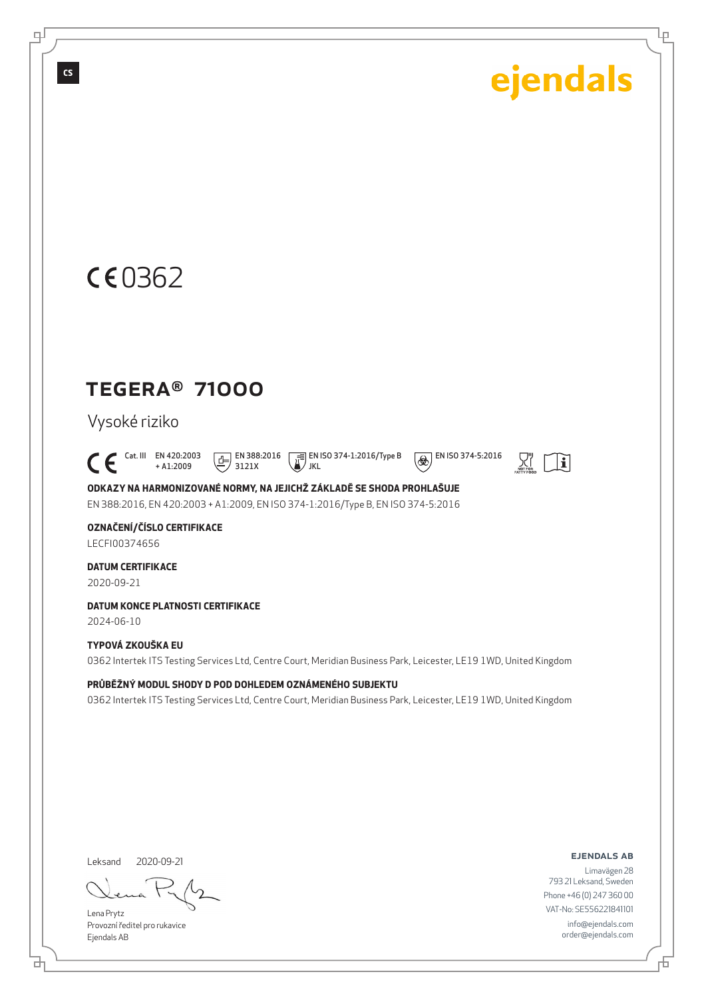Ļμ

## CE0362

### TEGERA® 71000

### Vysoké riziko

 $\bigcap_{+ \text{A1:2009}}^{\text{Cat. III}}$  EN 420:2003 + A1:2009  $\boxed{E}$  EN 388:2016 3121X

 EN ISO 374-1:2016/Type B JKL



 $|\mathbf{i}|$ 

**ODKAZY NA HARMONIZOVANÉ NORMY, NA JEJICHŽ ZÁKLADĚ SE SHODA PROHLAŠUJE** EN 388:2016, EN 420:2003 + A1:2009, EN ISO 374-1:2016/Type B, EN ISO 374-5:2016

#### **OZNAČENÍ/ČÍSLO CERTIFIKACE**

LECFI00374656

#### **DATUM CERTIFIKACE**

2020-09-21

#### **DATUM KONCE PLATNOSTI CERTIFIKACE**

2024-06-10

#### **TYPOVÁ ZKOUŠKA EU**

0362 Intertek ITS Testing Services Ltd, Centre Court, Meridian Business Park, Leicester, LE19 1WD, United Kingdom

#### **PRŮBĚŽNÝ MODUL SHODY D POD DOHLEDEM OZNÁMENÉHO SUBJEKTU**

0362 Intertek ITS Testing Services Ltd, Centre Court, Meridian Business Park, Leicester, LE19 1WD, United Kingdom

Leksand 2020-09-21

Lena Prytz Provozní ředitel pro rukavice Ejendals AB

#### ejendals ab

舌

Limavägen 28 793 21 Leksand, Sweden Phone +46 (0) 247 360 00 VAT-No: SE556221841101 info@ejendals.com order@ejendals.com

டி

**CS**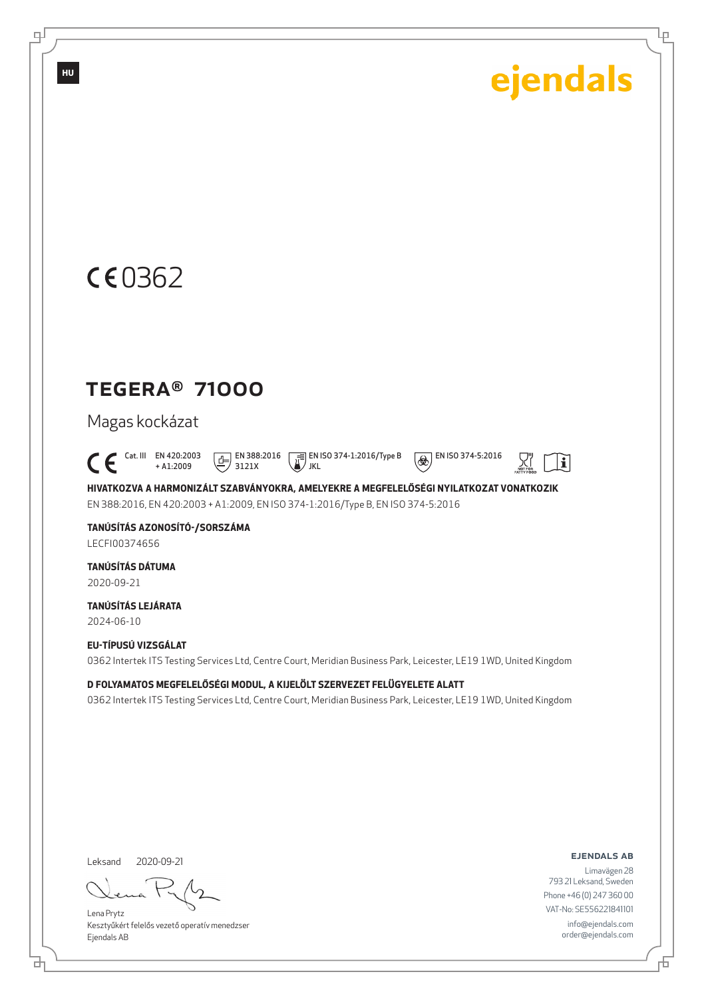Ļμ

## CE0362

### TEGERA® 71000

Magas kockázat

 $\begin{bmatrix} \begin{matrix} \text{Cat. III} & \text{EN } 420:2003 \\ + A1:2009 \end{matrix} \end{bmatrix}$ + A1:2009  $\boxed{E}$  EN 388:2016 3121X

 EN ISO 374-1:2016/Type B JKL

 $\overline{\bigcirc \bigcirc \bigcirc}$  EN ISO 374-5:2016



**HIVATKOZVA A HARMONIZÁLT SZABVÁNYOKRA, AMELYEKRE A MEGFELELŐSÉGI NYILATKOZAT VONATKOZIK** EN 388:2016, EN 420:2003 + A1:2009, EN ISO 374-1:2016/Type B, EN ISO 374-5:2016

**TANÚSÍTÁS AZONOSÍTÓ-/SORSZÁMA** LECFI00374656

**TANÚSÍTÁS DÁTUMA** 2020-09-21

**TANÚSÍTÁS LEJÁRATA** 2024-06-10

**EU-TÍPUSÚ VIZSGÁLAT** 0362 Intertek ITS Testing Services Ltd, Centre Court, Meridian Business Park, Leicester, LE19 1WD, United Kingdom

**D FOLYAMATOS MEGFELELŐSÉGI MODUL, A KIJELÖLT SZERVEZET FELÜGYELETE ALATT** 0362 Intertek ITS Testing Services Ltd, Centre Court, Meridian Business Park, Leicester, LE19 1WD, United Kingdom

Leksand 2020-09-21

<u>다</u>

Lena Prytz Kesztyűkért felelős vezető operatív menedzser Ejendals AB

ejendals ab

舌

Limavägen 28 793 21 Leksand, Sweden Phone +46 (0) 247 360 00 VAT-No: SE556221841101 info@ejendals.com order@ejendals.com

டி

**HU**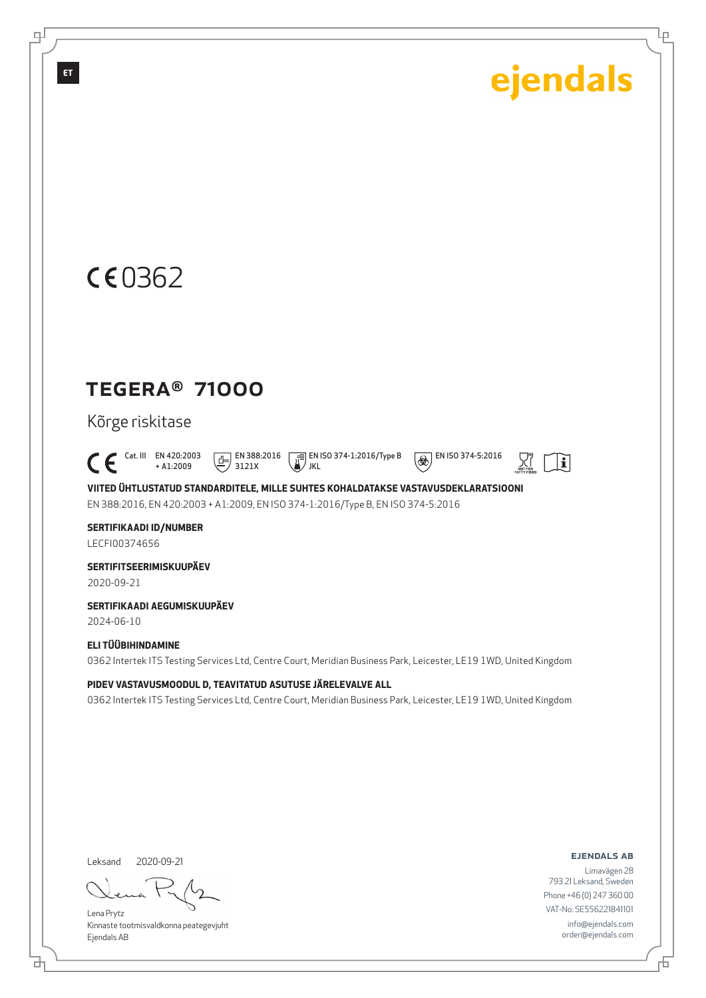Ļμ

## CE0362

### TEGERA® 71000

Kõrge riskitase

 $\int_{0}^{\frac{\pi}{4}} \frac{\text{Cat. III}}{\text{H}} \frac{\text{EN } 420:2003}{\text{H}} \cdot \text{AL:} 2009$ + A1:2009  $\boxed{E}$  EN 388:2016 3121X

 EN ISO 374-1:2016/Type B JKL

 $\circledR$  EN ISO 374-5:2016



**VIITED ÜHTLUSTATUD STANDARDITELE, MILLE SUHTES KOHALDATAKSE VASTAVUSDEKLARATSIOONI** EN 388:2016, EN 420:2003 + A1:2009, EN ISO 374-1:2016/Type B, EN ISO 374-5:2016

**SERTIFIKAADI ID/NUMBER** LECFI00374656

**SERTIFITSEERIMISKUUPÄEV** 2020-09-21

**SERTIFIKAADI AEGUMISKUUPÄEV**

2024-06-10

#### **ELI TÜÜBIHINDAMINE**

0362 Intertek ITS Testing Services Ltd, Centre Court, Meridian Business Park, Leicester, LE19 1WD, United Kingdom

#### **PIDEV VASTAVUSMOODUL D, TEAVITATUD ASUTUSE JÄRELEVALVE ALL**

0362 Intertek ITS Testing Services Ltd, Centre Court, Meridian Business Park, Leicester, LE19 1WD, United Kingdom

Leksand 2020-09-21

<u>다</u>

Lena Prytz Kinnaste tootmisvaldkonna peategevjuht Ejendals AB

ejendals ab

舌

Limavägen 28 793 21 Leksand, Sweden Phone +46 (0) 247 360 00 VAT-No: SE556221841101 info@ejendals.com order@ejendals.com

டி

**ET**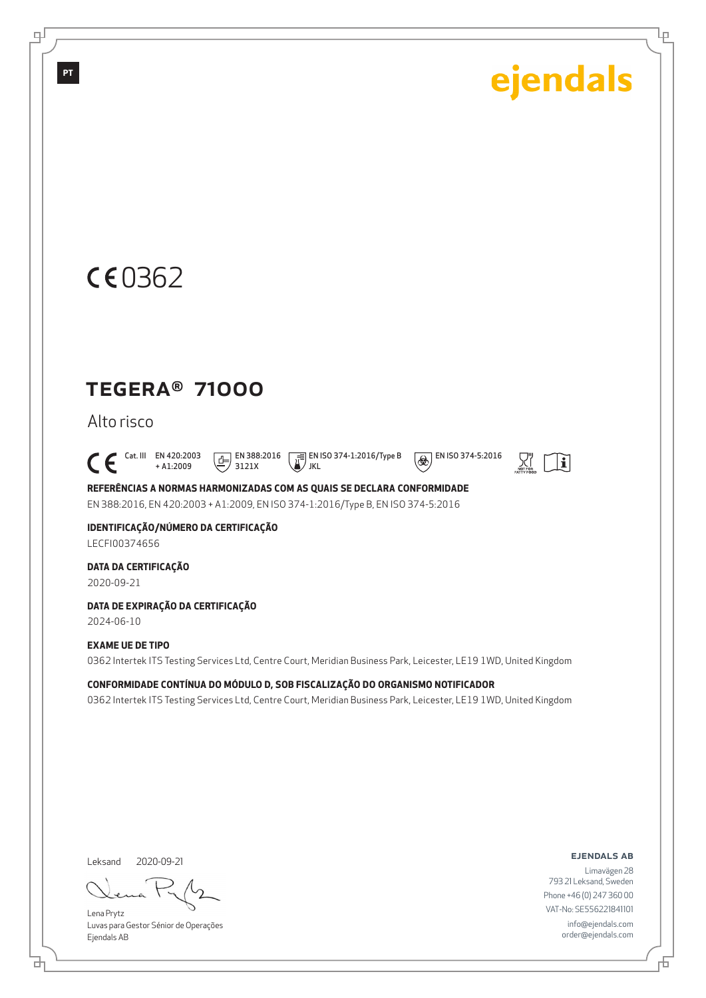Ļρ



### TEGERA® 71000

Alto risco

 $\bigcap_{+ \text{A1:2009}}^{\text{Cat. III}}$  EN 420:2003 + A1:2009  $\boxed{1}$  EN 388:2016 3121X

 EN ISO 374-1:2016/Type B JKL

 $\overline{\bigcirc \bigcirc \bigcirc}$  EN ISO 374-5:2016



**REFERÊNCIAS A NORMAS HARMONIZADAS COM AS QUAIS SE DECLARA CONFORMIDADE** EN 388:2016, EN 420:2003 + A1:2009, EN ISO 374-1:2016/Type B, EN ISO 374-5:2016

**IDENTIFICAÇÃO/NÚMERO DA CERTIFICAÇÃO** LECFI00374656

**DATA DA CERTIFICAÇÃO**

2020-09-21

**DATA DE EXPIRAÇÃO DA CERTIFICAÇÃO**

2024-06-10

#### **EXAME UE DE TIPO**

0362 Intertek ITS Testing Services Ltd, Centre Court, Meridian Business Park, Leicester, LE19 1WD, United Kingdom

**CONFORMIDADE CONTÍNUA DO MÓDULO D, SOB FISCALIZAÇÃO DO ORGANISMO NOTIFICADOR** 0362 Intertek ITS Testing Services Ltd, Centre Court, Meridian Business Park, Leicester, LE19 1WD, United Kingdom

Leksand 2020-09-21

<u>다</u>

Lena Prytz Luvas para Gestor Sénior de Operações Ejendals AB

ejendals ab

舌

Limavägen 28 793 21 Leksand, Sweden Phone +46 (0) 247 360 00 VAT-No: SE556221841101 info@ejendals.com order@ejendals.com

டி

**PT**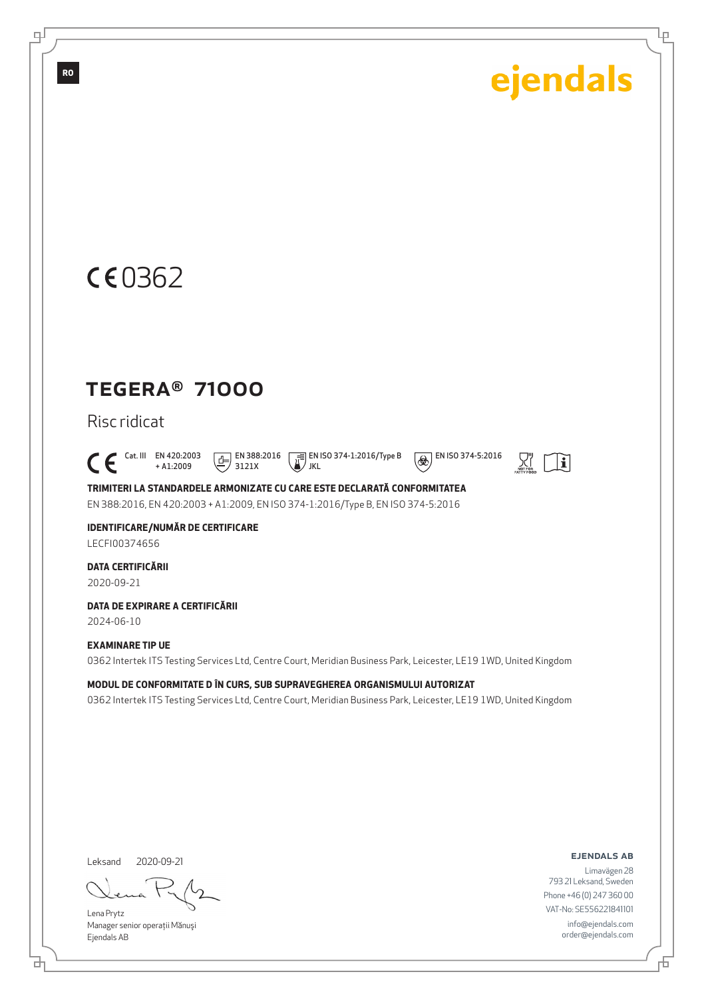Ļμ

## CE0362

### TEGERA® 71000

#### Risc ridicat

 $\bigcap_{+ \text{A1:2009}}^{\text{Cat. III}}$  EN 420:2003 + A1:2009  $E$  EN 388:2016 3121X

 EN ISO 374-1:2016/Type B JKL



 $\left| \mathbf{i} \right|$ 

**TRIMITERI LA STANDARDELE ARMONIZATE CU CARE ESTE DECLARATĂ CONFORMITATEA** EN 388:2016, EN 420:2003 + A1:2009, EN ISO 374-1:2016/Type B, EN ISO 374-5:2016

#### **IDENTIFICARE/NUMĂR DE CERTIFICARE** LECFI00374656

#### **DATA CERTIFICĂRII**

2020-09-21

#### **DATA DE EXPIRARE A CERTIFICĂRII**

2024-06-10

#### **EXAMINARE TIP UE**

0362 Intertek ITS Testing Services Ltd, Centre Court, Meridian Business Park, Leicester, LE19 1WD, United Kingdom

#### **MODUL DE CONFORMITATE D ÎN CURS, SUB SUPRAVEGHEREA ORGANISMULUI AUTORIZAT**

0362 Intertek ITS Testing Services Ltd, Centre Court, Meridian Business Park, Leicester, LE19 1WD, United Kingdom

Leksand 2020-09-21

<u>다</u>

Lena Prytz Manager senior operaţii Mănuşi Ejendals AB

#### ejendals ab

Limavägen 28 793 21 Leksand, Sweden Phone +46 (0) 247 360 00 VAT-No: SE556221841101 info@ejendals.com order@ejendals.com

டி

**RO**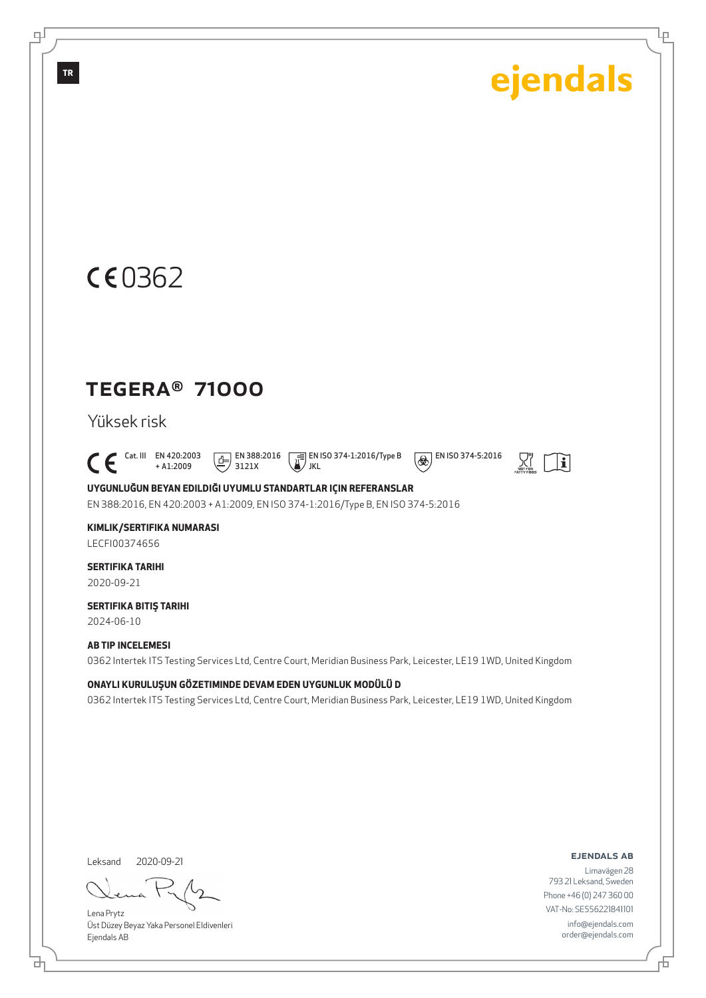Ļμ

## CE0362

### TEGERA® 71000

#### Yüksek risk

 $\bigcap_{+ \text{A1:2009}}^{\text{Cat. III}}$  EN 420:2003 + A1:2009  $\boxed{E}$  EN 388:2016 3121X

 EN ISO 374-1:2016/Type B / JKL



 $\circledR$  EN ISO 374-5:2016

**UYGUNLUĞUN BEYAN EDILDIĞI UYUMLU STANDARTLAR IÇIN REFERANSLAR**

EN 388:2016, EN 420:2003 + A1:2009, EN ISO 374-1:2016/Type B, EN ISO 374-5:2016

#### **KIMLIK/SERTIFIKA NUMARASI**

LECFI00374656

### **SERTIFIKA TARIHI**

2020-09-21

#### **SERTIFIKA BITIŞ TARIHI** 2024-06-10

#### **AB TIP INCELEMESI**

0362 Intertek ITS Testing Services Ltd, Centre Court, Meridian Business Park, Leicester, LE19 1WD, United Kingdom

#### **ONAYLI KURULUŞUN GÖZETIMINDE DEVAM EDEN UYGUNLUK MODÜLÜ D**

0362 Intertek ITS Testing Services Ltd, Centre Court, Meridian Business Park, Leicester, LE19 1WD, United Kingdom

Leksand 2020-09-21

đ

Lena Prytz Üst Düzey Beyaz Yaka Personel Eldivenleri Ejendals AB

ejendals ab

Limavägen 28 793 21 Leksand, Sweden Phone +46 (0) 247 360 00 VAT-No: SE556221841101 info@ejendals.com order@ejendals.com

டி

**TR**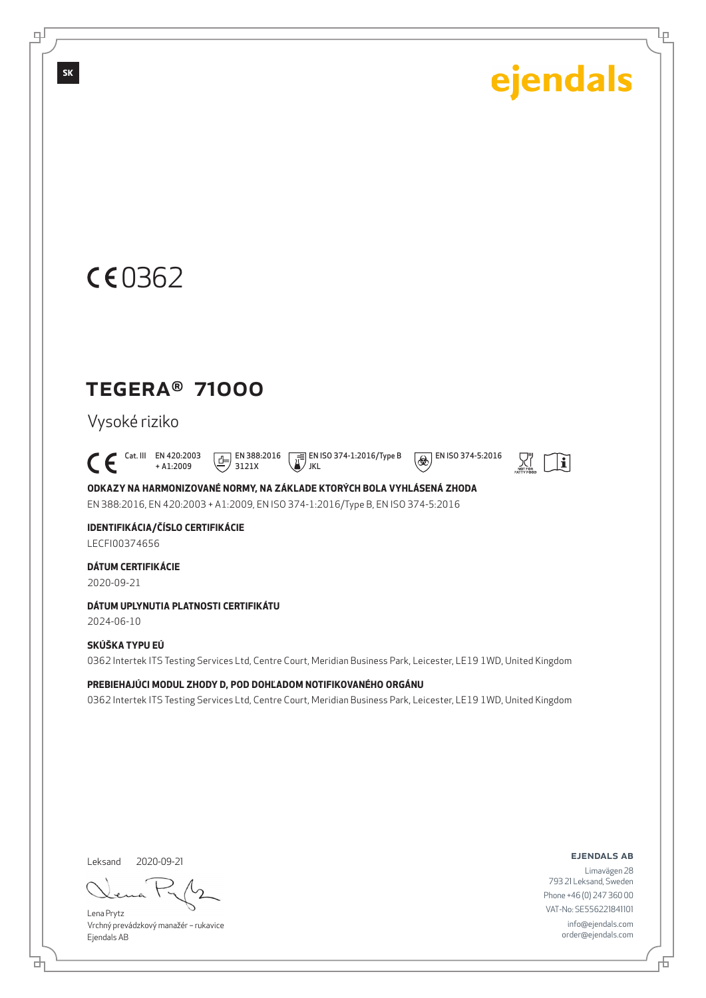Ļμ

## CE0362

## TEGERA® 71000

### Vysoké riziko

 $\int_{0}^{\frac{\pi}{4}} \frac{\text{Cat. III}}{\text{H}} \frac{\text{EN } 420:2003}{\text{H}}$ + A1:2009  $\boxed{E}$  EN 388:2016 3121X

 EN ISO 374-1:2016/Type B JKL

 $\overline{\bigcirc \bigcirc \bigcirc}$  EN ISO 374-5:2016



**ODKAZY NA HARMONIZOVANÉ NORMY, NA ZÁKLADE KTORÝCH BOLA VYHLÁSENÁ ZHODA** EN 388:2016, EN 420:2003 + A1:2009, EN ISO 374-1:2016/Type B, EN ISO 374-5:2016

#### **IDENTIFIKÁCIA/ČÍSLO CERTIFIKÁCIE** LECFI00374656

**DÁTUM CERTIFIKÁCIE**

2020-09-21

#### **DÁTUM UPLYNUTIA PLATNOSTI CERTIFIKÁTU**

2024-06-10

#### **SKÚŠKA TYPU EÚ**

0362 Intertek ITS Testing Services Ltd, Centre Court, Meridian Business Park, Leicester, LE19 1WD, United Kingdom

#### **PREBIEHAJÚCI MODUL ZHODY D, POD DOHĽADOM NOTIFIKOVANÉHO ORGÁNU**

0362 Intertek ITS Testing Services Ltd, Centre Court, Meridian Business Park, Leicester, LE19 1WD, United Kingdom

Leksand 2020-09-21

<u>다</u>

Lena Prytz Vrchný prevádzkový manažér – rukavice Ejendals AB

#### ejendals ab

舌

Limavägen 28 793 21 Leksand, Sweden Phone +46 (0) 247 360 00 VAT-No: SE556221841101 info@ejendals.com order@ejendals.com

டி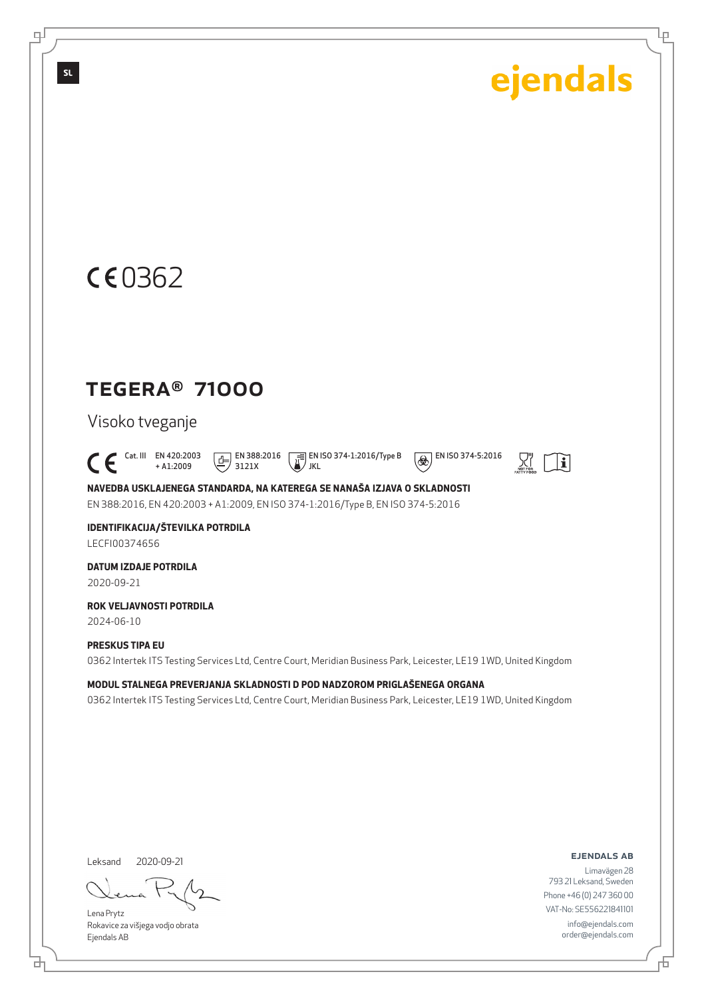Ļμ

## CE0362

### TEGERA® 71000

#### Visoko tveganje

 $\bigcap_{+ \text{A1:2009}}^{\text{Cat. III}}$  EN 420:2003 + A1:2009  $\boxed{E}$  EN 388:2016 3121X

 EN ISO 374-1:2016/Type B / JKL

 $\overline{\bigcirc \bigcirc \bigcirc}$  EN ISO 374-5:2016



**NAVEDBA USKLAJENEGA STANDARDA, NA KATEREGA SE NANAŠA IZJAVA O SKLADNOSTI** EN 388:2016, EN 420:2003 + A1:2009, EN ISO 374-1:2016/Type B, EN ISO 374-5:2016

**IDENTIFIKACIJA/ŠTEVILKA POTRDILA** LECFI00374656

**DATUM IZDAJE POTRDILA** 2020-09-21

**ROK VELJAVNOSTI POTRDILA** 2024-06-10

**PRESKUS TIPA EU**

0362 Intertek ITS Testing Services Ltd, Centre Court, Meridian Business Park, Leicester, LE19 1WD, United Kingdom

**MODUL STALNEGA PREVERJANJA SKLADNOSTI D POD NADZOROM PRIGLAŠENEGA ORGANA** 0362 Intertek ITS Testing Services Ltd, Centre Court, Meridian Business Park, Leicester, LE19 1WD, United Kingdom

Leksand 2020-09-21

<u>다</u>

Lena Prytz Rokavice za višjega vodjo obrata Ejendals AB

#### ejendals ab

Limavägen 28 793 21 Leksand, Sweden Phone +46 (0) 247 360 00 VAT-No: SE556221841101 info@ejendals.com order@ejendals.com

டி

**SL**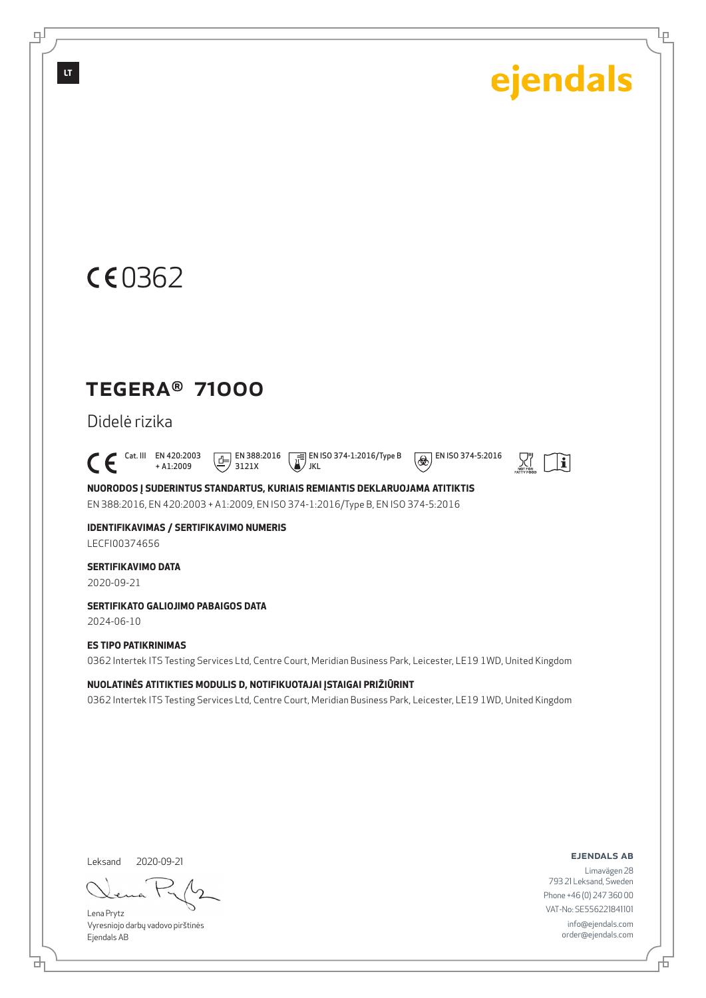Ļμ

## CE0362

### TEGERA® 71000

Didelė rizika

 $\bigcap_{+ \text{A1:2009}}^{\text{Cat. III}}$  EN 420:2003 + A1:2009  $\boxed{E}$  EN 388:2016 3121X

 EN ISO 374-1:2016/Type B JKL



 $\overline{\bigcirc \bigcirc \bigcirc}$  EN ISO 374-5:2016

**NUORODOS Į SUDERINTUS STANDARTUS, KURIAIS REMIANTIS DEKLARUOJAMA ATITIKTIS** EN 388:2016, EN 420:2003 + A1:2009, EN ISO 374-1:2016/Type B, EN ISO 374-5:2016

**IDENTIFIKAVIMAS / SERTIFIKAVIMO NUMERIS** LECFI00374656

**SERTIFIKAVIMO DATA**

2020-09-21

**SERTIFIKATO GALIOJIMO PABAIGOS DATA**

2024-06-10

**ES TIPO PATIKRINIMAS** 0362 Intertek ITS Testing Services Ltd, Centre Court, Meridian Business Park, Leicester, LE19 1WD, United Kingdom

**NUOLATINĖS ATITIKTIES MODULIS D, NOTIFIKUOTAJAI ĮSTAIGAI PRIŽIŪRINT**

0362 Intertek ITS Testing Services Ltd, Centre Court, Meridian Business Park, Leicester, LE19 1WD, United Kingdom

Leksand 2020-09-21

<u>다</u>

Lena Prytz Vyresniojo darbų vadovo pirštinės Ejendals AB

#### ejendals ab

Limavägen 28 793 21 Leksand, Sweden Phone +46 (0) 247 360 00 VAT-No: SE556221841101 info@ejendals.com order@ejendals.com

டி

**LT**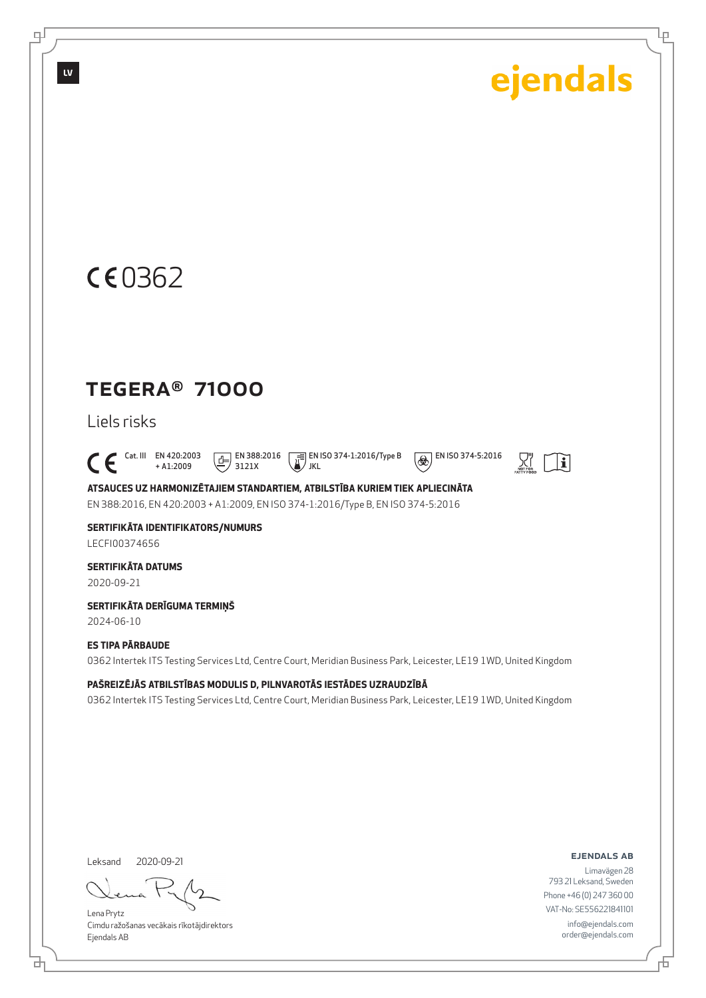Ļμ

## CE0362

### TEGERA® 71000

Liels risks

 $\bigcap_{+ \text{A1:2009}}^{\text{Cat. III}}$  EN 420:2003 + A1:2009  $\boxed{E}$  EN 388:2016 3121X

 EN ISO 374-1:2016/Type B JKL



 $\overline{\bigcirc \bigcirc \bigcirc}$  EN ISO 374-5:2016

**ATSAUCES UZ HARMONIZĒTAJIEM STANDARTIEM, ATBILSTĪBA KURIEM TIEK APLIECINĀTA** EN 388:2016, EN 420:2003 + A1:2009, EN ISO 374-1:2016/Type B, EN ISO 374-5:2016

**SERTIFIKĀTA IDENTIFIKATORS/NUMURS** LECFI00374656

**SERTIFIKĀTA DATUMS** 2020-09-21

**SERTIFIKĀTA DERĪGUMA TERMIŅŠ**

2024-06-10

#### **ES TIPA PĀRBAUDE**

0362 Intertek ITS Testing Services Ltd, Centre Court, Meridian Business Park, Leicester, LE19 1WD, United Kingdom

**PAŠREIZĒJĀS ATBILSTĪBAS MODULIS D, PILNVAROTĀS IESTĀDES UZRAUDZĪBĀ**

0362 Intertek ITS Testing Services Ltd, Centre Court, Meridian Business Park, Leicester, LE19 1WD, United Kingdom

Leksand 2020-09-21

<u>다</u>

Lena Prytz Cimdu ražošanas vecākais rīkotājdirektors Ejendals AB

ejendals ab

舌

Limavägen 28 793 21 Leksand, Sweden Phone +46 (0) 247 360 00 VAT-No: SE556221841101 info@ejendals.com order@ejendals.com

டி

**LV**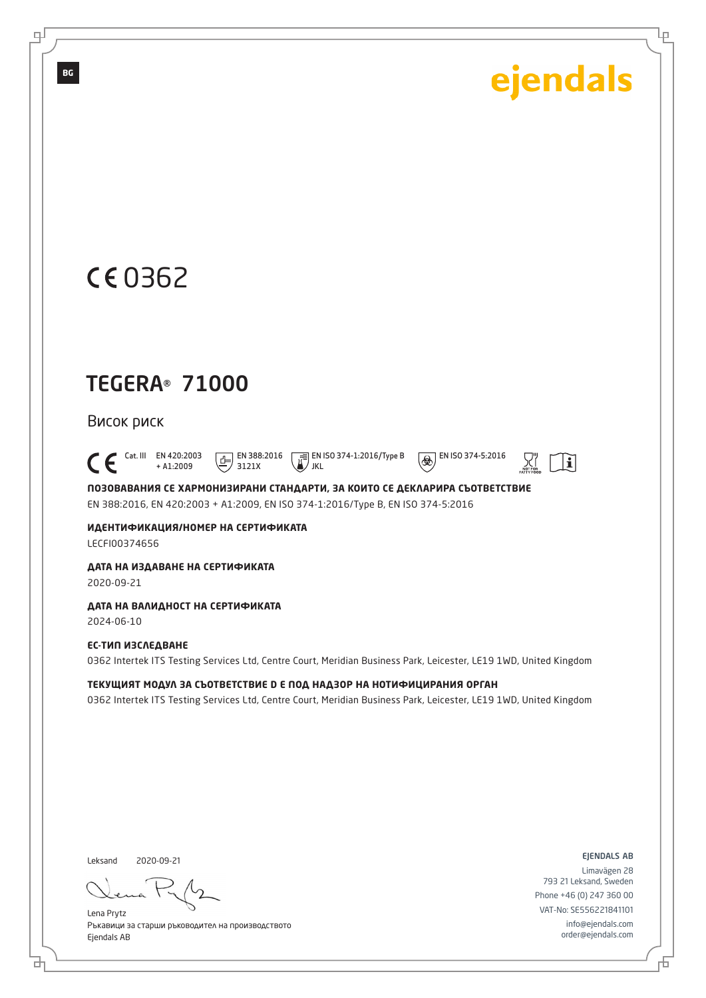$\tilde{\mathbf{i}}$ 

Ļμ

## 0362

**BG**

டி

## TEGERA® 71000

+ A1:2009

#### Висок риск

 $\bigcap_{+ A1:2009}^{\text{Cat. III}}$  EN 420:2003

JKL **ПОЗОВАВАНИЯ СЕ ХАРМОНИЗИРАНИ СТАНДАРТИ, ЗА КОИТО СЕ ДЕКЛАРИРА СЪОТВЕТСТВИЕ** EN 388:2016, EN 420:2003 + A1:2009, EN ISO 374-1:2016/Type B, EN ISO 374-5:2016

EN ISO 374-1:2016/Type B

 $\circledR$  EN ISO 374-5:2016

 $\boxed{F}$  EN 388:2016 3121X

**ИДЕНТИФИКАЦИЯ/НОМЕР НА СЕРТИФИКАТА** LECFI00374656

#### **ДАТА НА ИЗДАВАНЕ НА СЕРТИФИКАТА**

2020-09-21

#### **ДАТА НА ВАЛИДНОСТ НА СЕРТИФИКАТА**

2024-06-10

#### **ЕС-ТИП ИЗСЛЕДВАНЕ** 0362 Intertek ITS Testing Services Ltd, Centre Court, Meridian Business Park, Leicester, LE19 1WD, United Kingdom

**ТЕКУЩИЯТ МОДУЛ ЗА СЪОТВЕТСТВИЕ D Е ПОД НАДЗОР НА НОТИФИЦИРАНИЯ ОРГАН** 0362 Intertek ITS Testing Services Ltd, Centre Court, Meridian Business Park, Leicester, LE19 1WD, United Kingdom

Leksand 2020-09-21

브

Lena Prytz Ръкавици за старши ръководител на производството Ejendals AB

ejendals ab

Đ

Limavägen 28 793 21 Leksand, Sweden Phone +46 (0) 247 360 00 VAT-No: SE556221841101 info@ejendals.com order@ejendals.com